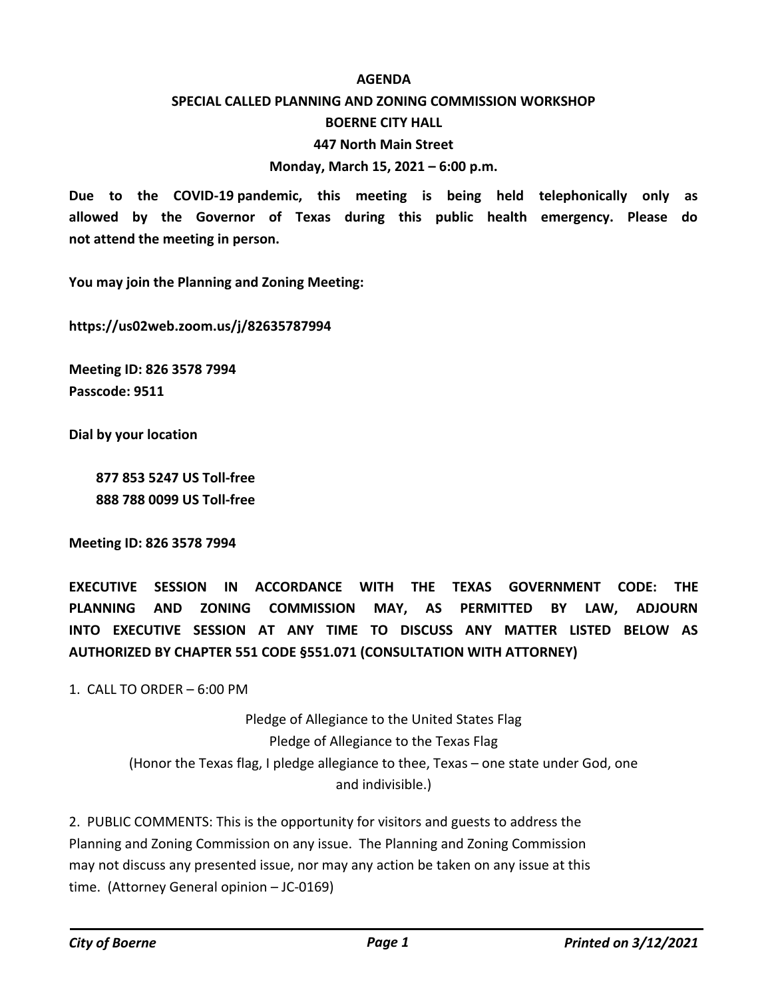#### **AGENDA**

## **SPECIAL CALLED PLANNING AND ZONING COMMISSION WORKSHOP**

#### **BOERNE CITY HALL**

#### **447 North Main Street**

#### **Monday, March 15, 2021 – 6:00 p.m.**

**Due to the COVID-19 pandemic, this meeting is being held telephonically only as allowed by the Governor of Texas during this public health emergency. Please do not attend the meeting in person.**

**You may join the Planning and Zoning Meeting:**

**https://us02web.zoom.us/j/82635787994**

**Meeting ID: 826 3578 7994 Passcode: 9511**

**Dial by your location**

 **877 853 5247 US Toll-free 888 788 0099 US Toll-free**

**Meeting ID: 826 3578 7994**

**EXECUTIVE SESSION IN ACCORDANCE WITH THE TEXAS GOVERNMENT CODE: THE PLANNING AND ZONING COMMISSION MAY, AS PERMITTED BY LAW, ADJOURN INTO EXECUTIVE SESSION AT ANY TIME TO DISCUSS ANY MATTER LISTED BELOW AS AUTHORIZED BY CHAPTER 551 CODE §551.071 (CONSULTATION WITH ATTORNEY)**

1. CALL TO ORDER  $-6:00$  PM

Pledge of Allegiance to the United States Flag Pledge of Allegiance to the Texas Flag (Honor the Texas flag, I pledge allegiance to thee, Texas – one state under God, one and indivisible.)

2. PUBLIC COMMENTS: This is the opportunity for visitors and guests to address the Planning and Zoning Commission on any issue. The Planning and Zoning Commission may not discuss any presented issue, nor may any action be taken on any issue at this time. (Attorney General opinion – JC-0169)